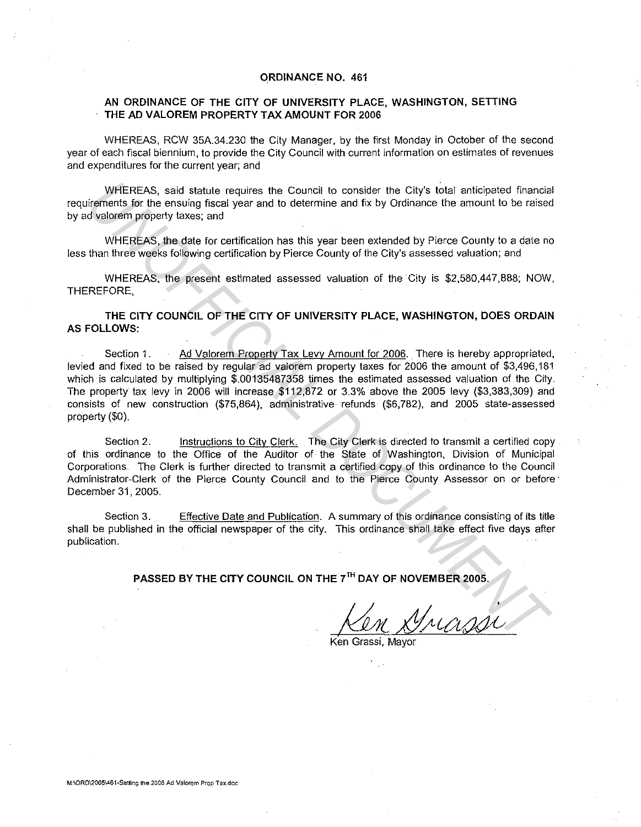## ORDINANCE NO. 461

## AN ORDINANCE OF THE CITY OF UNIVERSITY PLACE, WASHINGTON, SETTING THE AD VALOREM PROPERTY TAX AMOUNT FOR 2006

WHEREAS, RCW 35A.34.230 the City Manager, by the first Monday in October of the second year of each fiscal biennium, to provide the City Council with current information on estimates of revenues and expenditures for the current year; and

WHEREAS, said statute requires the Council to consider the City's total anticipated financial requirements for the ensuing fiscal year and to determine and fix by Ordinance the amount to be raised by ad valorem property taxes; and

WHEREAS, the date for certification has this year been extended by Pierce County to a date no less than three weeks following certification by Pierce County of the City's assessed valuation; and

WHEREAS, the present estimated assessed valuation of the City is \$2,580,447,888; NOW, THEREFORE,

THE CITY COUNCIL OF THE CITY OF UNIVERSITY PLACE, WASHINGTON, DOES ORDAIN AS FOLLOWS:

Section 1. Ad Valorem Property Tax Levy Amount for 2006. There is hereby appropriated, levied and fixed to be raised by regular ad valorem property taxes for 2006 the amount of \$3,496,181 which is calculated by multiplying \$.00135487358 times the estimated assessed valuation of the City. The property tax levy in 2006 will increase \$112,872 or 3.3% above the 2005 levy (\$3,383,309) and consists of new construction (\$75,864), administrative refunds (\$6,782), and 2005 state-assessed property (\$0). WHEREAS, said statute requires the Council to consider the City's total anticipated financial<br> *UNIOFFICIAL DUMENTA* of the ensing fiscal year and to determine and fix by Ordinance the amount to be relised<br>
UNICIPENT WHERE

Section 2. Instructions to City Clerk. The City Clerk is directed to transmit a certified copy of this ordinance to the Office of the Auditor of the State of Washington, Division of Municipal Corporations. The Clerk is further directed to transmit a certified copy of this ordinance to the Council Administrator-Clerk of the Pierce County Council and to the Pierce County Assessor on or before December 31, 2005.

Section 3. Effective Date and Publication. A summary of this ordinance consisting of its title shall be published in the official newspaper of the city. This ordinance shall take effect five days after publication.

PASSED BY THE CITY COUNCIL ON THE 7<sup>TH</sup> DAY OF NOVEMBER 2005.